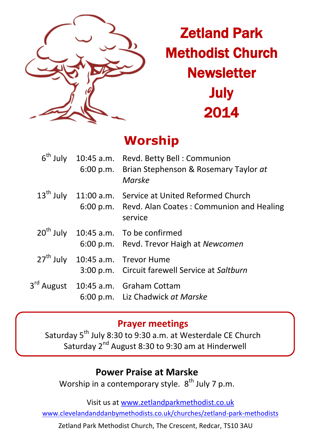

# Zetland Park Methodist Church **Newsletter** July 2014

# **Worship**

|  | $6th$ July 10:45 a.m. Revd. Betty Bell : Communion<br>6:00 p.m. Brian Stephenson & Rosemary Taylor at<br>Marske                     |
|--|-------------------------------------------------------------------------------------------------------------------------------------|
|  | 13 <sup>th</sup> July 11:00 a.m. Service at United Reformed Church<br>6:00 p.m. Revd. Alan Coates: Communion and Healing<br>service |
|  | $20th$ July 10:45 a.m. To be confirmed<br>6:00 p.m. Revd. Trevor Haigh at Newcomen                                                  |
|  | 27 <sup>th</sup> July 10:45 a.m. Trevor Hume<br>3:00 p.m. Circuit farewell Service at Saltburn                                      |
|  | 3 <sup>rd</sup> August 10:45 a.m. Graham Cottam<br>6:00 p.m. Liz Chadwick at Marske                                                 |

#### **Prayer meetings**

Saturday 5<sup>th</sup> July 8:30 to 9:30 a.m. at Westerdale CE Church Saturday 2<sup>nd</sup> August 8:30 to 9:30 am at Hinderwell

### **Power Praise at Marske**

Worship in a contemporary style. 8<sup>th</sup> July 7 p.m.

Visit us at [www.zetlandparkmethodist.co.uk](file:///X:/Zetland%20Park/Newsletters/www.zetlandparkmethodist.co.uk)

[www.clevelandanddanbymethodists.co.uk/churches/zetland-park-methodists](http://www.clevelandanddanbymethodists.co.uk/churches/zetland-park-methodists) 

Zetland Park Methodist Church, The Crescent, Redcar, TS10 3AU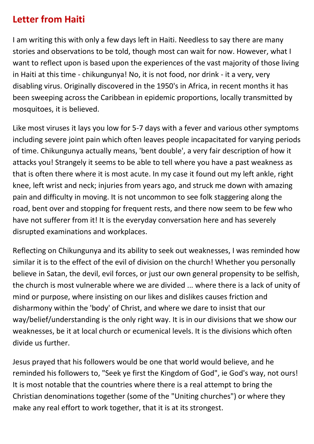### **Letter from Haiti**

I am writing this with only a few days left in Haiti. Needless to say there are many stories and observations to be told, though most can wait for now. However, what I want to reflect upon is based upon the experiences of the vast majority of those living in Haiti at this time - chikungunya! No, it is not food, nor drink - it a very, very disabling virus. Originally discovered in the 1950's in Africa, in recent months it has been sweeping across the Caribbean in epidemic proportions, locally transmitted by mosquitoes, it is believed.

Like most viruses it lays you low for 5-7 days with a fever and various other symptoms including severe joint pain which often leaves people incapacitated for varying periods of time. Chikungunya actually means, 'bent double', a very fair description of how it attacks you! Strangely it seems to be able to tell where you have a past weakness as that is often there where it is most acute. In my case it found out my left ankle, right knee, left wrist and neck; injuries from years ago, and struck me down with amazing pain and difficulty in moving. It is not uncommon to see folk staggering along the road, bent over and stopping for frequent rests, and there now seem to be few who have not sufferer from it! It is the everyday conversation here and has severely disrupted examinations and workplaces.

Reflecting on Chikungunya and its ability to seek out weaknesses, I was reminded how similar it is to the effect of the evil of division on the church! Whether you personally believe in Satan, the devil, evil forces, or just our own general propensity to be selfish, the church is most vulnerable where we are divided ... where there is a lack of unity of mind or purpose, where insisting on our likes and dislikes causes friction and disharmony within the 'body' of Christ, and where we dare to insist that our way/belief/understanding is the only right way. It is in our divisions that we show our weaknesses, be it at local church or ecumenical levels. It is the divisions which often divide us further.

Jesus prayed that his followers would be one that world would believe, and he reminded his followers to, "Seek ye first the Kingdom of God", ie God's way, not ours! It is most notable that the countries where there is a real attempt to bring the Christian denominations together (some of the "Uniting churches") or where they make any real effort to work together, that it is at its strongest.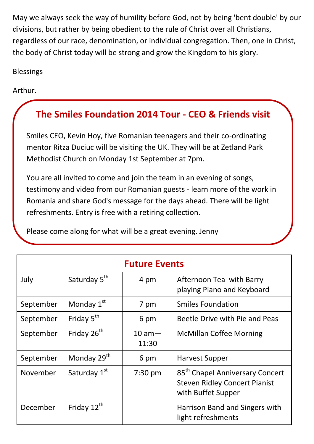May we always seek the way of humility before God, not by being 'bent double' by our divisions, but rather by being obedient to the rule of Christ over all Christians, regardless of our race, denomination, or individual congregation. Then, one in Christ, the body of Christ today will be strong and grow the Kingdom to his glory.

Blessings

Arthur.

## **The Smiles Foundation 2014 Tour - CEO & Friends visit**

Smiles CEO, Kevin Hoy, five Romanian teenagers and their co-ordinating mentor Ritza Duciuc will be visiting the UK. They will be at Zetland Park Methodist Church on Monday 1st September at 7pm.

You are all invited to come and join the team in an evening of songs, testimony and video from our Romanian guests - learn more of the work in Romania and share God's message for the days ahead. There will be light refreshments. Entry is free with a retiring collection.

Please come along for what will be a great evening. Jenny

| <b>Future Events</b> |                          |                            |                                                                                                           |  |
|----------------------|--------------------------|----------------------------|-----------------------------------------------------------------------------------------------------------|--|
| July                 | Saturday 5 <sup>th</sup> | 4 pm                       | Afternoon Tea with Barry<br>playing Piano and Keyboard                                                    |  |
| September            | Monday 1 <sup>st</sup>   | 7 pm                       | <b>Smiles Foundation</b>                                                                                  |  |
| September            | Friday $5th$             | 6 pm                       | Beetle Drive with Pie and Peas                                                                            |  |
| September            | Friday 26 <sup>th</sup>  | $10 \text{ am} -$<br>11:30 | <b>McMillan Coffee Morning</b>                                                                            |  |
| September            | Monday 29 <sup>th</sup>  | 6 pm                       | Harvest Supper                                                                                            |  |
| November             | Saturday 1st             | 7:30 pm                    | 85 <sup>th</sup> Chapel Anniversary Concert<br><b>Steven Ridley Concert Pianist</b><br>with Buffet Supper |  |
| December             | Friday 12 <sup>th</sup>  |                            | Harrison Band and Singers with<br>light refreshments                                                      |  |